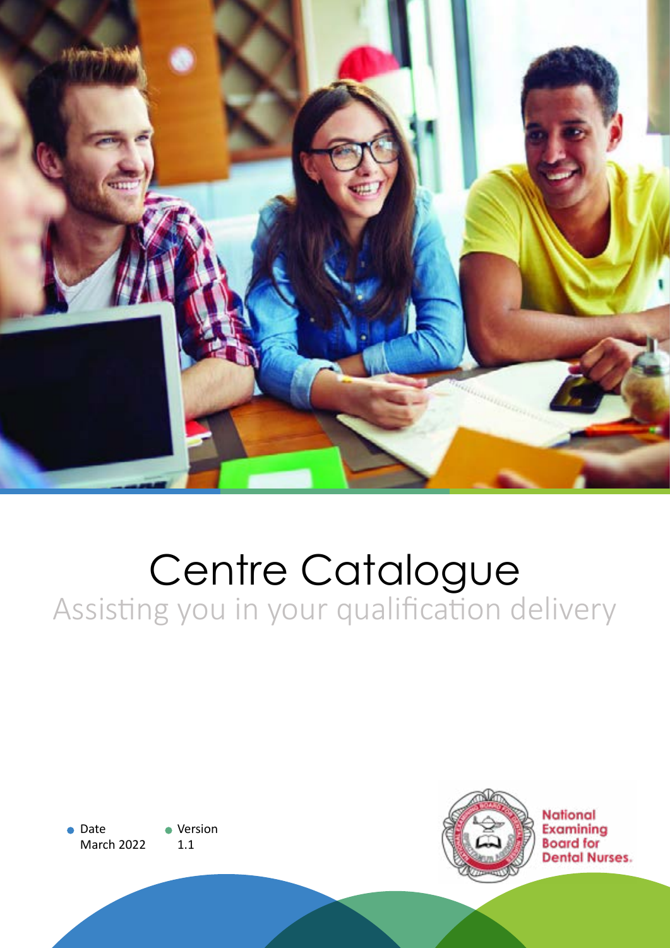

# Centre Catalogue Assisting you in your qualification delivery

● Date March 2022 • Version 1.1

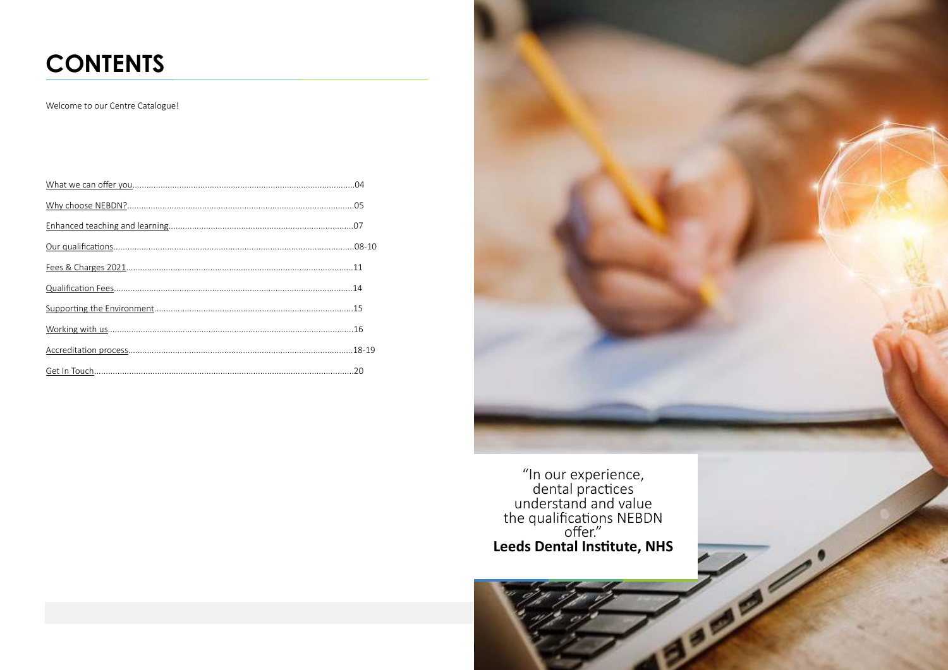# **CONTENTS**

Welcome to our Centre Catalogue!

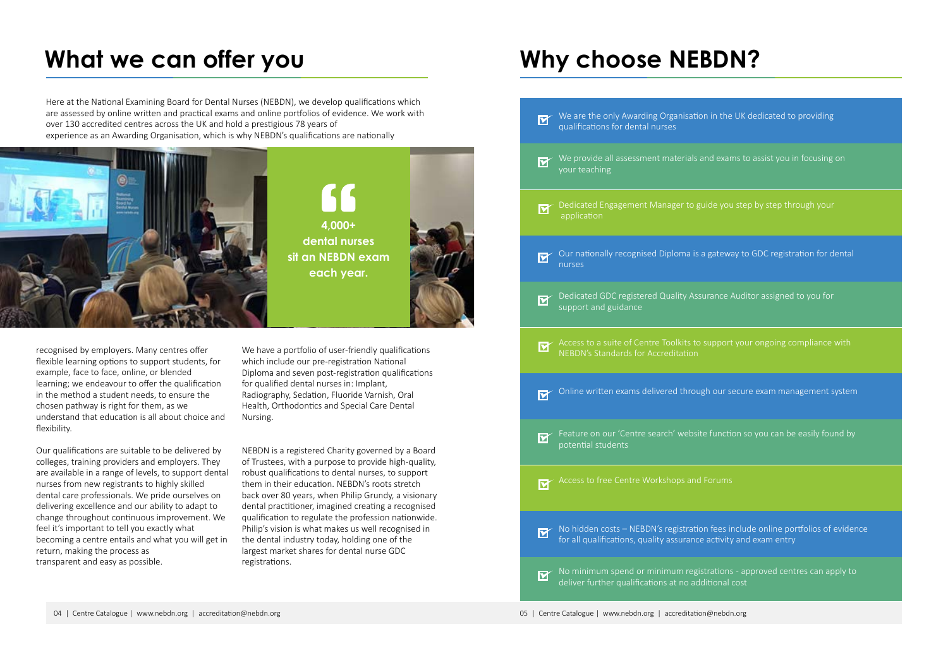| $\blacksquare$          | We are the only Awarding Organisation in the<br>qualifications for dental nurses                     |
|-------------------------|------------------------------------------------------------------------------------------------------|
| <u>लि</u>               | We provide all assessment materials and exar<br>your teaching                                        |
|                         | Dedicated Engagement Manager to guide you<br>application                                             |
| $\boldsymbol{\boxdot}$  | Our nationally recognised Diploma is a gatewa<br>nurses                                              |
| $\overline{\mathbf{M}}$ | Dedicated GDC registered Quality Assurance /<br>support and guidance                                 |
| $\overline{\mathbf{M}}$ | Access to a suite of Centre Toolkits to support<br><b>NEBDN's Standards for Accreditation</b>        |
| $\overline{\mathbf{M}}$ | Online written exams delivered through our s                                                         |
|                         | Feature on our 'Centre search' website functi<br>potential students                                  |
|                         | Access to free Centre Workshops and Forums                                                           |
| $\overline{\mathbf{M}}$ | No hidden costs - NEBDN's registration fees in<br>for all qualifications, quality assurance activity |
| $\boldsymbol{\nabla}$   | No minimum spend or minimum registrations<br>deliver further qualifications at no additional         |

**4,000+ dental nurses sit an NEBDN exam each year.**



the UK dedicated to providing

whe provide system in focusing on  $\alpha$ 

ou step by step through your

eway to GDC registration for dental

ce Auditor assigned to you for

ort your ongoing compliance with

online write written exam management system

Iction so you can be easily found by

es include online portfolios of evidence vity and exam entry

ons - approved centres can apply to hal cost

recognised by employers. Many centres offer flexible learning options to support students, for example, face to face, online, or blended learning; we endeavour to offer the qualification in the method a student needs, to ensure the chosen pathway is right for them, as we understand that education is all about choice and flexibility.

Our qualifications are suitable to be delivered by colleges, training providers and employers. They are available in a range of levels, to support dental nurses from new registrants to highly skilled dental care professionals. We pride ourselves on delivering excellence and our ability to adapt to change throughout continuous improvement. We feel it's important to tell you exactly what becoming a centre entails and what you will get in return, making the process as transparent and easy as possible.

We have a portfolio of user-friendly qualifications which include our pre-registration National Diploma and seven post-registration qualifications for qualified dental nurses in: Implant, Radiography, Sedation, Fluoride Varnish, Oral Health, Orthodontics and Special Care Dental Nursing.

NEBDN is a registered Charity governed by a Board of Trustees, with a purpose to provide high-quality, robust qualifications to dental nurses, to support them in their education. NEBDN's roots stretch back over 80 years, when Philip Grundy, a visionary dental practitioner, imagined creating a recognised qualification to regulate the profession nationwide. Philip's vision is what makes us well recognised in the dental industry today, holding one of the largest market shares for dental nurse GDC registrations.

# <span id="page-2-0"></span>What we can offer you **Why choose NEBDN?**

Here at the National Examining Board for Dental Nurses (NEBDN), we develop qualifications which are assessed by online written and practical exams and online portfolios of evidence. We work with over 130 accredited centres across the UK and hold a prestigious 78 years of experience as an Awarding Organisation, which is why NEBDN's qualifications are nationally

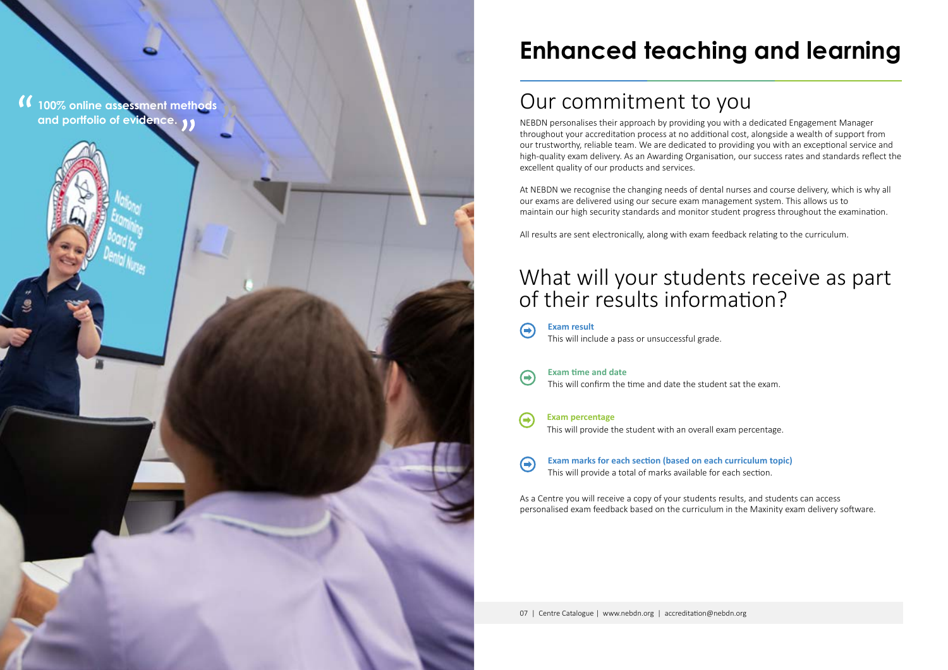# **Enhanced teaching and learning**

NEBDN personalises their approach by providing you with a dedicated Engagement Manager throughout your accreditation process at no additional cost, alongside a wealth of support from our trustworthy, reliable team. We are dedicated to providing you with an exceptional service and high-quality exam delivery. As an Awarding Organisation, our success rates and standards reflect the excellent quality of our products and services.

### What will your students receive as part of their results information?



At NEBDN we recognise the changing needs of dental nurses and course delivery, which is why all our exams are delivered using our secure exam management system. This allows us to maintain our high security standards and monitor student progress throughout the examination.

All results are sent electronically, along with exam feedback relating to the curriculum.

<span id="page-3-0"></span>

### Our commitment to you

This will confirm the time and date the student sat the exam.



 $\left( \rightarrow \right)$ 

This will include a pass or unsuccessful grade. **Exam result**

This will provide the student with an overall exam percentage. **Exam percentage**

**Exam time and date**

**Exam marks for each section (based on each curriculum topic)**  $\bigoplus$ This will provide a total of marks available for each section.

As a Centre you will receive a copy of your students results, and students can access personalised exam feedback based on the curriculum in the Maxinity exam delivery software.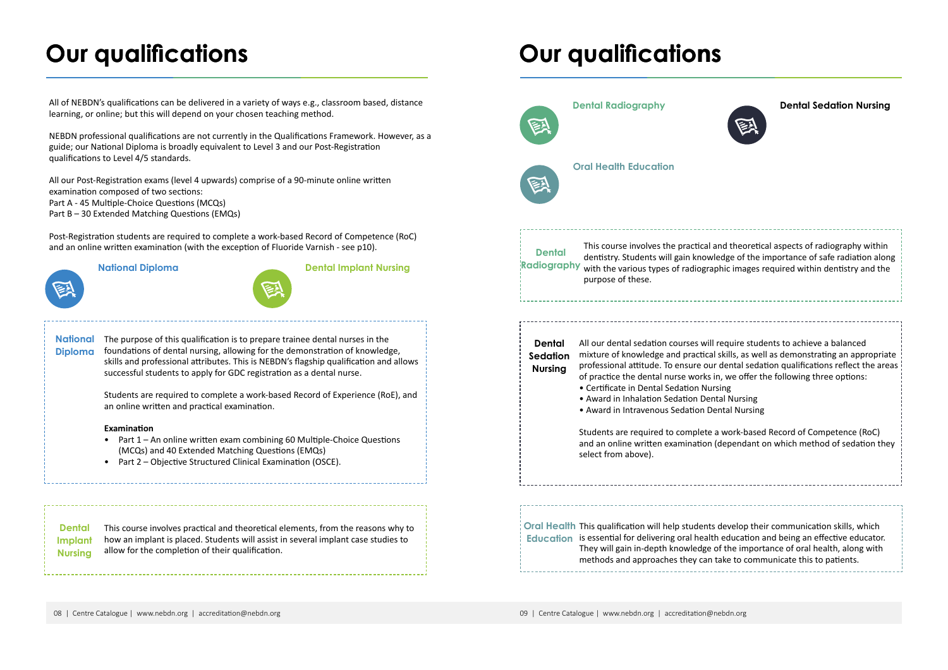This course involves practical and theoretical elements, from the reasons why to how an implant is placed. Students will assist in several implant case studies to allow for the completion of their qualification. **Dental Implant Nursing**





All of NEBDN's qualifications can be delivered in a variety of ways e.g., classroom based, distance learning, or online; but this will depend on your chosen teaching method.

NEBDN professional qualifications are not currently in the Qualifications Framework. However, as a guide; our National Diploma is broadly equivalent to Level 3 and our Post-Registration qualifications to Level 4/5 standards.

All our Post-Registration exams (level 4 upwards) comprise of a 90-minute online written examination composed of two sections: Part A - 45 Multiple-Choice Questions (MCQs) Part B – 30 Extended Matching Questions (EMQs)

Post-Registration students are required to complete a work-based Record of Competence (RoC) and an online written examination (with the exception of Fluoride Varnish - see p10).



They will gain in-depth knowledge of the importance of oral health, along with methods and approaches they can take to communicate this to patients.

National The purpose of this qualification is to prepare trainee dental nurses in the **Diploma** foundations of dental nursing, allowing for the demonstration of knowledge, skills and professional attributes. This is NEBDN's flagship qualification and allows successful students to apply for GDC registration as a dental nurse.

This course involves the practical and theoretical aspects of radiography within dentistry. Students will gain knowledge of the importance of safe radiation along

- Part 1 An online written exam combining 60 Multiple-Choice Questions (MCQs) and 40 Extended Matching Questions (EMQs)
- Part 2 Objective Structured Clinical Examination (OSCE).



All our dental sedation courses will require students to achieve a balanced mixture of knowledge and practical skills, as well as demonstrating an appropriate professional attitude. To ensure our dental sedation qualifications reflect the areas of practice the dental nurse works in, we offer the following three options:

- 
- 

Students are required to complete a work-based Record of Competence (RoC) and an online written examination (dependant on which method of sedation they

### **Dental Sedation Nursing**

# <span id="page-4-0"></span>**Our qualifications**

Students are required to complete a work-based Record of Experience (RoE), and an online written and practical examination.

### **Examination**

### **National Diploma Dental Implant Nursing**



## **Our qualifications**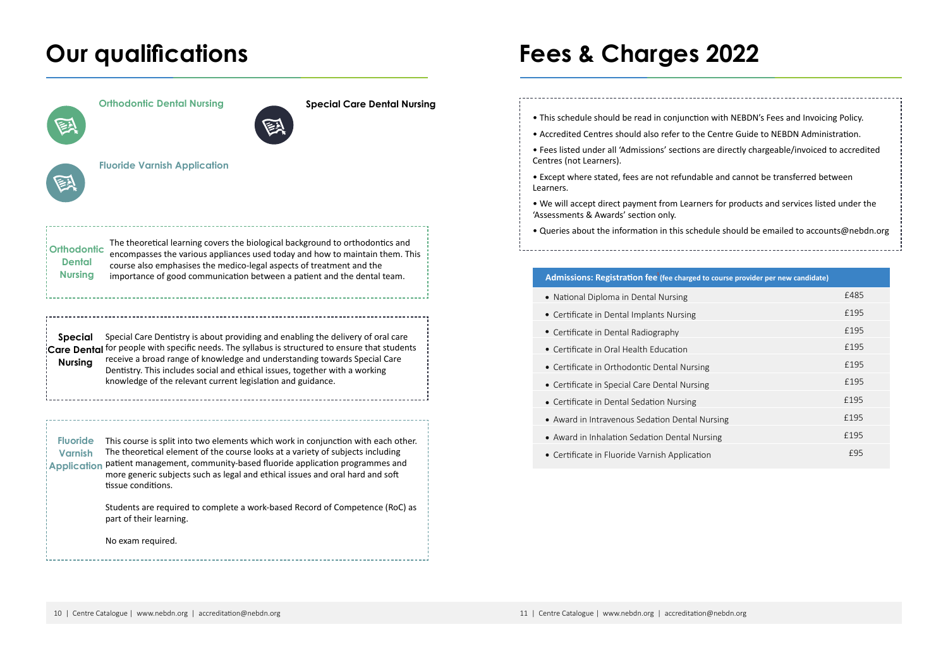# <span id="page-5-0"></span>**Our qualifications Fees & Charges 2022**



| ourse provider per new candidate) |      |
|-----------------------------------|------|
|                                   | £485 |
|                                   | £195 |
|                                   | £195 |
|                                   | £195 |
|                                   | £195 |
|                                   | £195 |
|                                   | £195 |
| sing                              | £195 |
| Ιg                                | £195 |
|                                   | £95  |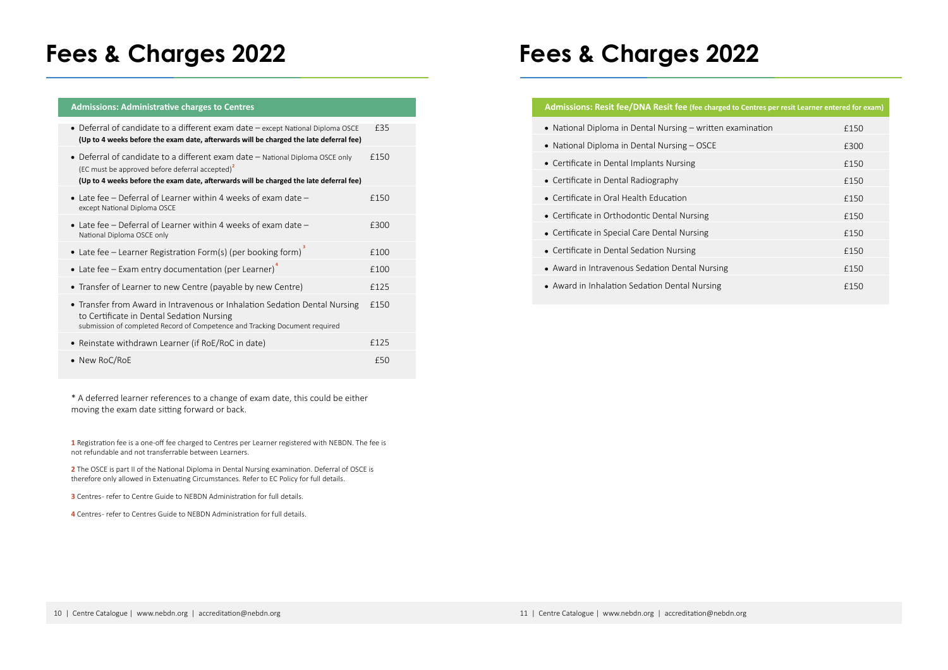# **Fees & Charges 2022**

### **Admissions: Resit fee/DNA Resit fee (fee charged to Centre)**

| rged to Centres per resit Learner entered for exam) |      |  |  |
|-----------------------------------------------------|------|--|--|
| en examination                                      | £150 |  |  |
|                                                     | £300 |  |  |
|                                                     | £150 |  |  |
|                                                     | £150 |  |  |
|                                                     | £150 |  |  |
|                                                     | £150 |  |  |
|                                                     | £150 |  |  |
|                                                     | £150 |  |  |
| ing                                                 | £150 |  |  |
| g                                                   | £150 |  |  |
|                                                     |      |  |  |

- $\bullet$  National Diploma in Dental Nursing writte
- National Diploma in Dental Nursing OSCE
- Certificate in Dental Implants Nursing
- Certificate in Dental Radiography
- Certificate in Oral Health Education
- Certificate in Orthodontic Dental Nursing
- Certificate in Special Care Dental Nursing
- Certificate in Dental Sedation Nursing
- Award in Intravenous Sedation Dental Nurs
- Award in Inhalation Sedation Dental Nursing

# **Fees & Charges 2022**

### **Admissions: Administrative charges to Centres**

2 The OSCE is part II of the National Diploma in Dental Nursing examination. Deferral of OSCE is therefore only allowed in Extenuating Circumstances. Refer to EC Policy for full details.

**3** Centres- refer to Centre Guide to NEBDN Administration for full details.

| • Deferral of candidate to a different exam date - except National Diploma OSCE<br>(Up to 4 weeks before the exam date, afterwards will be charged the late deferral fee)                                                              | £35  |
|----------------------------------------------------------------------------------------------------------------------------------------------------------------------------------------------------------------------------------------|------|
| • Deferral of candidate to a different exam date – National Diploma OSCE only<br>(EC must be approved before deferral accepted) <sup>2</sup><br>(Up to 4 weeks before the exam date, afterwards will be charged the late deferral fee) | £150 |
| • Late fee – Deferral of Learner within 4 weeks of exam date –<br>except National Diploma OSCE                                                                                                                                         | £150 |
| • Late fee – Deferral of Learner within 4 weeks of exam date –<br>National Diploma OSCE only                                                                                                                                           | £300 |
| • Late fee – Learner Registration Form(s) (per booking form)                                                                                                                                                                           | £100 |
| • Late fee – Exam entry documentation (per Learner)                                                                                                                                                                                    | £100 |
| • Transfer of Learner to new Centre (payable by new Centre)                                                                                                                                                                            | £125 |
| • Transfer from Award in Intravenous or Inhalation Sedation Dental Nursing<br>to Certificate in Dental Sedation Nursing<br>submission of completed Record of Competence and Tracking Document required                                 | £150 |
| • Reinstate withdrawn Learner (if RoE/RoC in date)                                                                                                                                                                                     | £125 |
| • New RoC/RoE                                                                                                                                                                                                                          | £50  |

\* A deferred learner references to a change of exam date, this could be either moving the exam date sitting forward or back.

**1** Registration fee is a one-off fee charged to Centres per Learner registered with NEBDN. The fee is not refundable and not transferrable between Learners.

**4** Centres - refer to Centres Guide to NEBDN Administration for full details.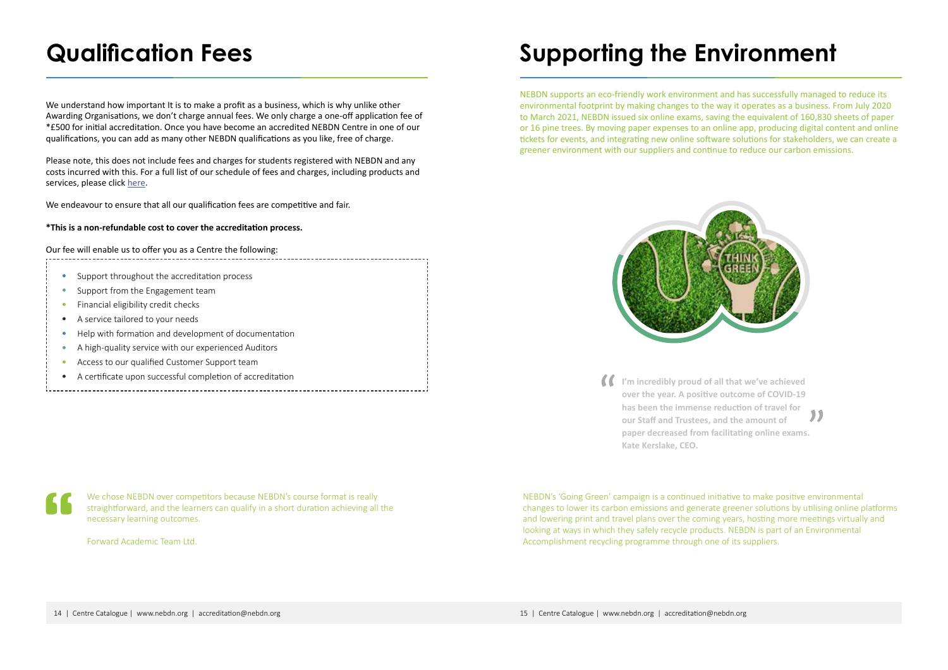We chose NEBDN over competitors because NEBDN's course format is really straightforward, and the learners can qualify in a short duration achieving all the necessary learning outcomes.

Forward Academic Team Ltd.

- Support throughout the accreditation process
- Support from the Engagement team
- Financial eligibility credit checks
- A service tailored to your needs
- Help with formation and development of documentation
- A high-quality service with our experienced Auditors
- Access to our qualified Customer Support team
- A certificate upon successful completion of accreditation
- 

# <span id="page-7-0"></span>**Qualification Fees**

We understand how important It is to make a profit as a business, which is why unlike other Awarding Organisations, we don't charge annual fees. We only charge a one-off application fee of \*£500 for initial accreditation. Once you have become an accredited NEBDN Centre in one of our qualifications, you can add as many other NEBDN qualifications as you like, free of charge.

Please note, this does not include fees and charges for students registered with NEBDN and any costs incurred with this. For a full list of our schedule of fees and charges, including products and services, please click [here](https://www.nebdn.org/app/uploads/2021/03/NEBDN-Fees-Schedule-2021.pdf).

We endeavour to ensure that all our qualification fees are competitive and fair.

### **\*This is a non-refundable cost to cover the accreditation process.**

Our fee will enable us to offer you as a Centre the following:

NEBDN's 'Going Green' campaign is a continued initiative to make positive environmental changes to lower its carbon emissions and generate greener solutions by utilising online platforms and lowering print and travel plans over the coming years, hosting more meetings virtually and looking at ways in which they safely recycle products. NEBDN is part of an Environmental Accomplishment recycling programme through one of its suppliers.

# **Supporting the Environment**

NEBDN supports an eco-friendly work environment and has successfully managed to reduce its environmental footprint by making changes to the way it operates as a business. From July 2020 to March 2021, NEBDN issued six online exams, saving the equivalent of 160,830 sheets of paper or 16 pine trees. By moving paper expenses to an online app, producing digital content and online tickets for events, and integrating new online software solutions for stakeholders, we can create a greener environment with our suppliers and continue to reduce our carbon emissions.



**I'm incredibly proud of all that we've achieved over the year. A positive outcome of COVID-19 has been the immense reduction of travel for our Staff and Trustees, and the amount of paper decreased from facilitating online exams. Kate Kerslake, CEO.** 

| ٠ | ۰. |  |
|---|----|--|
|   |    |  |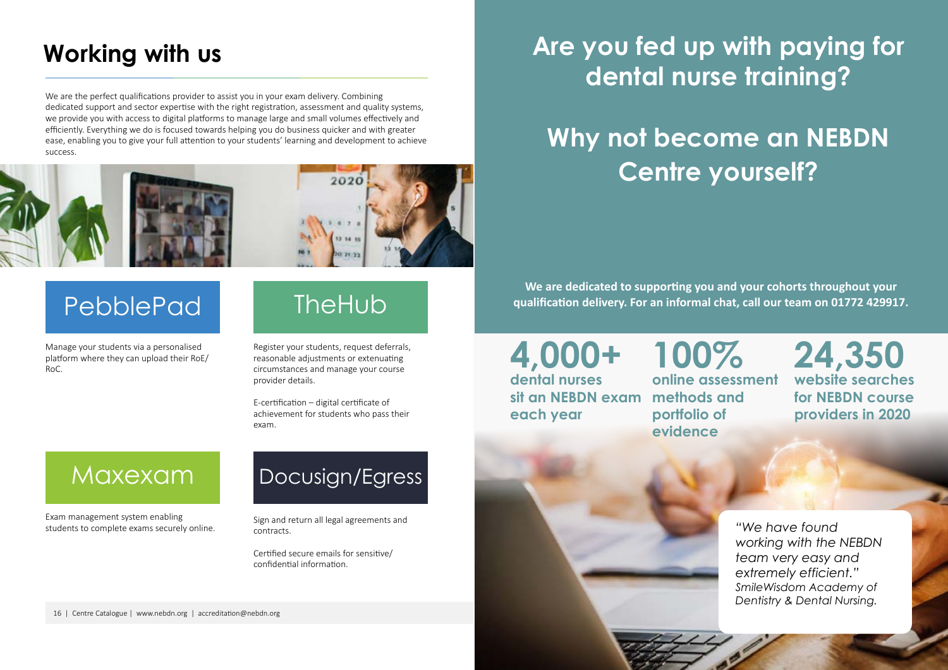

# <span id="page-8-0"></span>**Working with us**

# PebblePad

## Maxexam

# Docusign/Egress

We are the perfect qualifications provider to assist you in your exam delivery. Combining dedicated support and sector expertise with the right registration, assessment and quality systems, we provide you with access to digital platforms to manage large and small volumes effectively and efficiently. Everything we do is focused towards helping you do business quicker and with greater ease, enabling you to give your full attention to your students' learning and development to achieve success.



Manage your students via a personalised platform where they can upload their RoE/ RoC.

**TheHub** 

Register your students, request deferrals, reasonable adjustments or extenuating circumstances and manage your course provider details.

E-certification – digital certificate of achievement for students who pass their exam.

Exam management system enabling students to complete exams securely online.

Sign and return all legal agreements and contracts.

Certified secure emails for sensitive/ confidential information.

# **Are you fed up with paying for dental nurse training?**

# **Why not become an NEBDN Centre yourself?**

**We are dedicated to supporting you and your cohorts throughout your qualification delivery. For an informal chat, call our team on 01772 429917.**

**4,000+ dental nurses sit an NEBDN exam each year**

**100% online assessment methods and portfolio of** 

**evidence** 

**24,350 website searches for NEBDN course providers in 2020**

*"We have found working with the NEBDN team very easy and extremely efficient." SmileWisdom Academy of Dentistry & Dental Nursing.*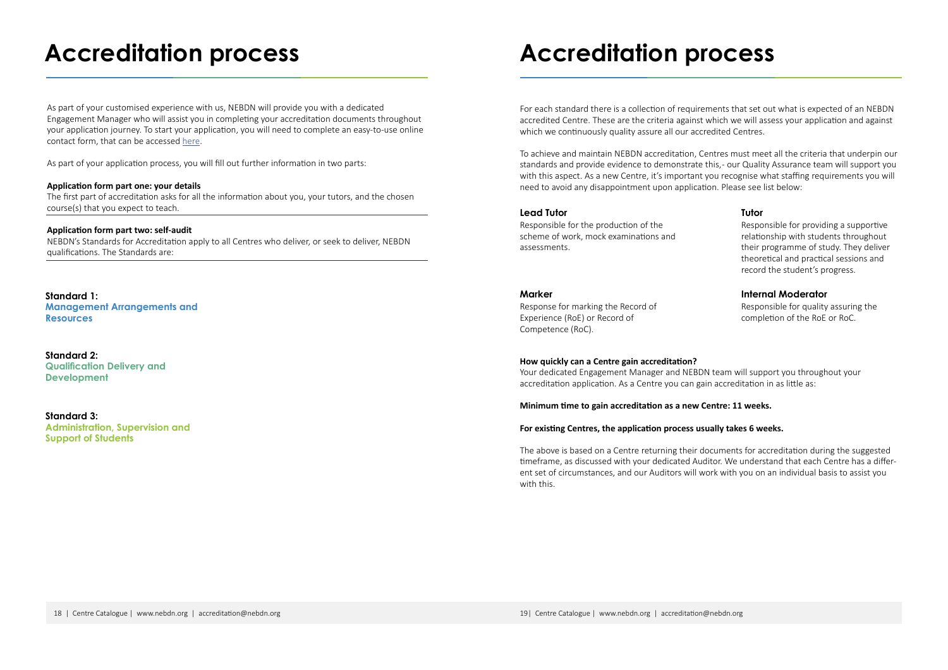# <span id="page-9-0"></span>**Accreditation process**

**Standard 1: Management Arrangements and Resources**

As part of your customised experience with us, NEBDN will provide you with a dedicated Engagement Manager who will assist you in completing your accreditation documents throughout your application journey. To start your application, you will need to complete an easy-to-use online contact form, that can be accessed [here](https://www.nebdn.org/course-provider-contact-form/).

**Standard 3: Administration, Supervision and Support of Students**

**Standard 2: Qualification Delivery and Development**

As part of your application process, you will fill out further information in two parts:

### **Application form part one: your details**

The first part of accreditation asks for all the information about you, your tutors, and the chosen course(s) that you expect to teach.

For each standard there is a collection of requirements that set out what is expected of an NEBDN accredited Centre. These are the criteria against which we will assess your application and against which we continuously quality assure all our accredited Centres.

### **Application form part two: self-audit**

NEBDN's Standards for Accreditation apply to all Centres who deliver, or seek to deliver, NEBDN qualifications. The Standards are:

Responsible for the production of the scheme of work, mock examinations and assessments.

Responsible for providing a supportive relationship with students throughout their programme of study. They deliver theoretical and practical sessions and record the student's progress.

Response for marking the Record of Experience (RoE) or Record of Competence (RoC).

Responsible for quality assuring the completion of the RoE or RoC.

### **Lead Tutor Tutor**

### **Marker Internal Moderator**

To achieve and maintain NEBDN accreditation, Centres must meet all the criteria that underpin our standards and provide evidence to demonstrate this, - our Quality Assurance team will support you with this aspect. As a new Centre, it's important you recognise what staffing requirements you will need to avoid any disappointment upon application. Please see list below:

### **How quickly can a Centre gain accreditation?**

Your dedicated Engagement Manager and NEBDN team will support you throughout your accreditation application. As a Centre you can gain accreditation in as little as:

### **Minimum time to gain accreditation as a new Centre: 11 weeks.**

### **For existing Centres, the application process usually takes 6 weeks.**

The above is based on a Centre returning their documents for accreditation during the suggested timeframe, as discussed with your dedicated Auditor. We understand that each Centre has a different set of circumstances, and our Auditors will work with you on an individual basis to assist you with this.

## **Accreditation process**